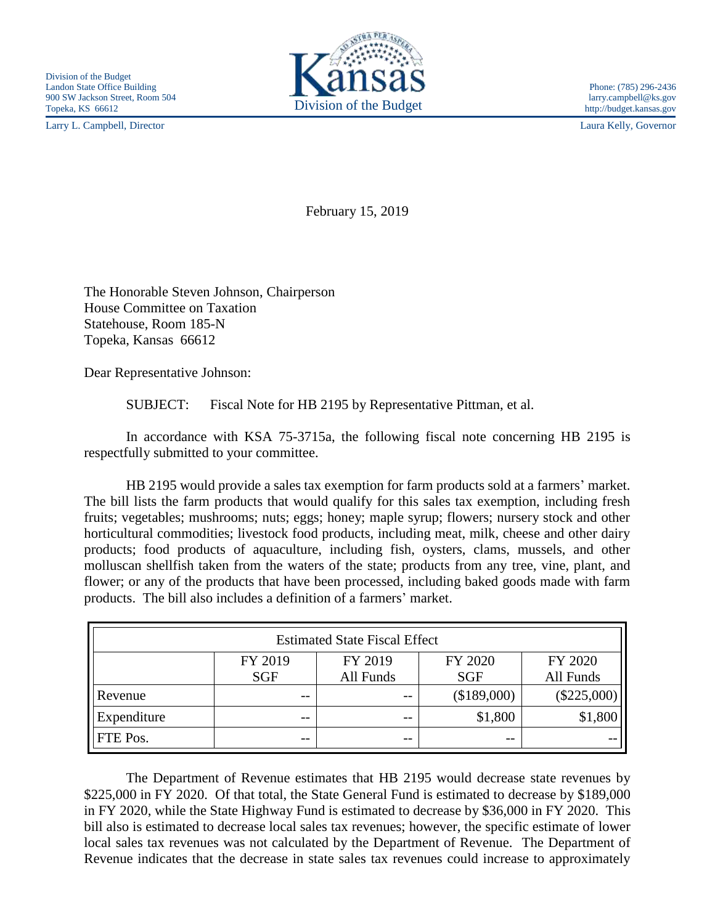Larry L. Campbell, Director Laura Kelly, Governor



February 15, 2019

The Honorable Steven Johnson, Chairperson House Committee on Taxation Statehouse, Room 185-N Topeka, Kansas 66612

Dear Representative Johnson:

SUBJECT: Fiscal Note for HB 2195 by Representative Pittman, et al.

In accordance with KSA 75-3715a, the following fiscal note concerning HB 2195 is respectfully submitted to your committee.

HB 2195 would provide a sales tax exemption for farm products sold at a farmers' market. The bill lists the farm products that would qualify for this sales tax exemption, including fresh fruits; vegetables; mushrooms; nuts; eggs; honey; maple syrup; flowers; nursery stock and other horticultural commodities; livestock food products, including meat, milk, cheese and other dairy products; food products of aquaculture, including fish, oysters, clams, mussels, and other molluscan shellfish taken from the waters of the state; products from any tree, vine, plant, and flower; or any of the products that have been processed, including baked goods made with farm products. The bill also includes a definition of a farmers' market.

| <b>Estimated State Fiscal Effect</b> |            |           |             |               |
|--------------------------------------|------------|-----------|-------------|---------------|
|                                      | FY 2019    | FY 2019   | FY 2020     | FY 2020       |
|                                      | <b>SGF</b> | All Funds | <b>SGF</b>  | All Funds     |
| Revenue                              | $- -$      | $ -$      | (\$189,000) | $(\$225,000)$ |
| Expenditure                          | --         | $ -$      | \$1,800     | \$1,800       |
| FTE Pos.                             | --         | $ -$      | $- -$       |               |

The Department of Revenue estimates that HB 2195 would decrease state revenues by \$225,000 in FY 2020. Of that total, the State General Fund is estimated to decrease by \$189,000 in FY 2020, while the State Highway Fund is estimated to decrease by \$36,000 in FY 2020. This bill also is estimated to decrease local sales tax revenues; however, the specific estimate of lower local sales tax revenues was not calculated by the Department of Revenue. The Department of Revenue indicates that the decrease in state sales tax revenues could increase to approximately